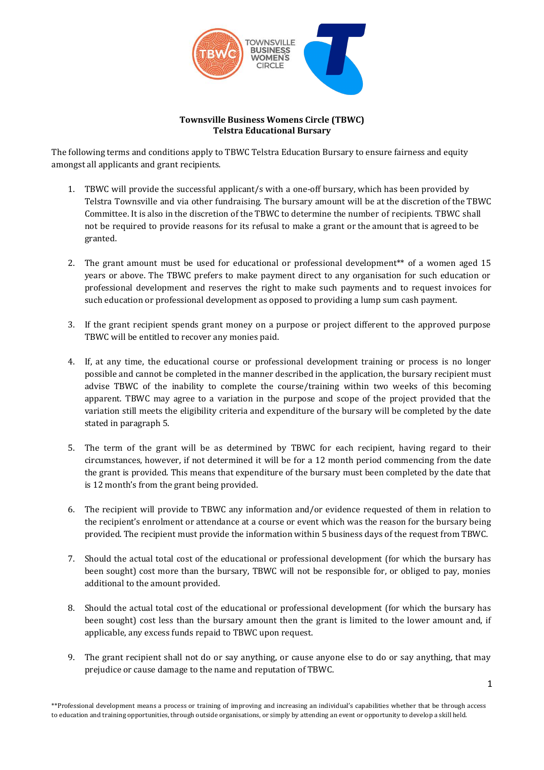

## **Townsville Business Womens Circle (TBWC) Telstra Educational Bursary**

The following terms and conditions apply to TBWC Telstra Education Bursary to ensure fairness and equity amongst all applicants and grant recipients.

- 1. TBWC will provide the successful applicant/s with a one-off bursary, which has been provided by Telstra Townsville and via other fundraising. The bursary amount will be at the discretion of the TBWC Committee. It is also in the discretion of the TBWC to determine the number of recipients. TBWC shall not be required to provide reasons for its refusal to make a grant or the amount that is agreed to be granted.
- 2. The grant amount must be used for educational or professional development\*\* of a women aged 15 years or above. The TBWC prefers to make payment direct to any organisation for such education or professional development and reserves the right to make such payments and to request invoices for such education or professional development as opposed to providing a lump sum cash payment.
- 3. If the grant recipient spends grant money on a purpose or project different to the approved purpose TBWC will be entitled to recover any monies paid.
- 4. If, at any time, the educational course or professional development training or process is no longer possible and cannot be completed in the manner described in the application, the bursary recipient must advise TBWC of the inability to complete the course/training within two weeks of this becoming apparent. TBWC may agree to a variation in the purpose and scope of the project provided that the variation still meets the eligibility criteria and expenditure of the bursary will be completed by the date stated in paragraph 5.
- 5. The term of the grant will be as determined by TBWC for each recipient, having regard to their circumstances, however, if not determined it will be for a 12 month period commencing from the date the grant is provided. This means that expenditure of the bursary must been completed by the date that is 12 month's from the grant being provided.
- 6. The recipient will provide to TBWC any information and/or evidence requested of them in relation to the recipient's enrolment or attendance at a course or event which was the reason for the bursary being provided. The recipient must provide the information within 5 business days of the request from TBWC.
- 7. Should the actual total cost of the educational or professional development (for which the bursary has been sought) cost more than the bursary, TBWC will not be responsible for, or obliged to pay, monies additional to the amount provided.
- 8. Should the actual total cost of the educational or professional development (for which the bursary has been sought) cost less than the bursary amount then the grant is limited to the lower amount and, if applicable, any excess funds repaid to TBWC upon request.
- 9. The grant recipient shall not do or say anything, or cause anyone else to do or say anything, that may prejudice or cause damage to the name and reputation of TBWC.